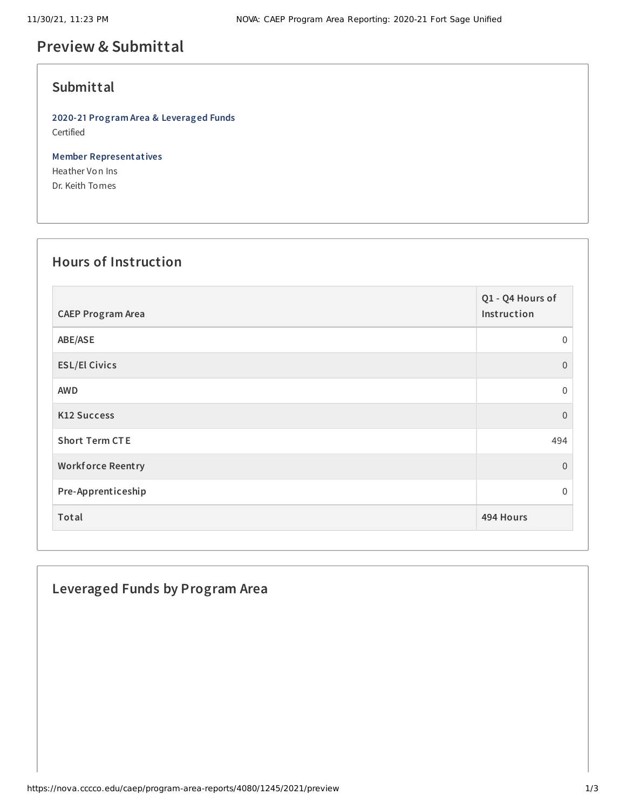# **Preview & Submittal**

### **Submittal**

**2020-21 Program Area & Leveraged Funds** Certified

**Member Representatives** Heather Von Ins Dr. Keith Tomes

#### **Hours of Instruction**

| <b>CAEP Program Area</b> | Q1 - Q4 Hours of<br>Instruction |
|--------------------------|---------------------------------|
| ABE/ASE                  | $\mathbf{0}$                    |
| <b>ESL/El Civics</b>     | $\Omega$                        |
| <b>AWD</b>               | $\mathbf 0$                     |
| <b>K12 Success</b>       | $\Omega$                        |
| <b>Short Term CTE</b>    | 494                             |
| <b>Workforce Reentry</b> | $\overline{0}$                  |
| Pre-Apprenticeship       | $\Omega$                        |
| Total                    | 494 Hours                       |

### **Leveraged Funds by Program Area**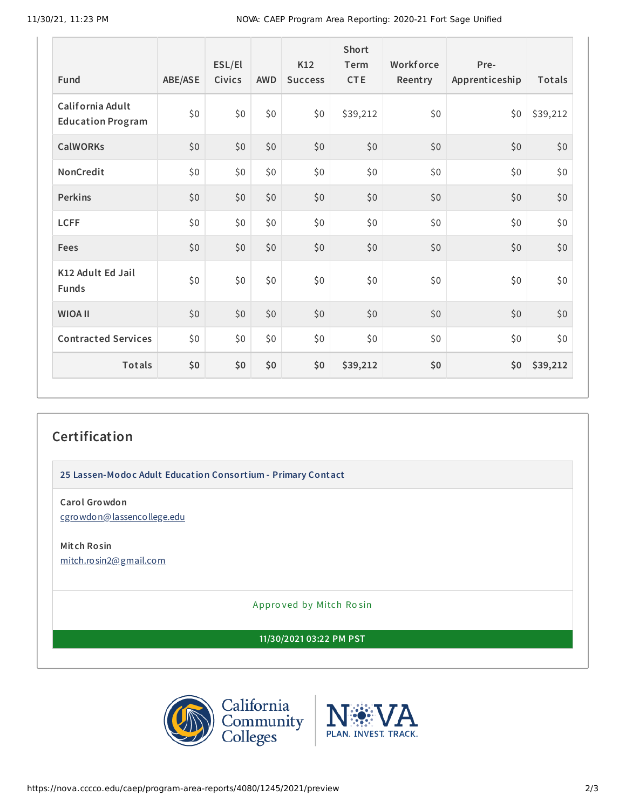| <b>Fund</b>                                  | ABE/ASE | ESL/El<br><b>Civics</b> | <b>AWD</b> | K12<br><b>Success</b> | <b>Short</b><br>Term<br><b>CTE</b> | Workforce<br>Reentry | Pre-<br>Apprenticeship | Totals   |
|----------------------------------------------|---------|-------------------------|------------|-----------------------|------------------------------------|----------------------|------------------------|----------|
| California Adult<br><b>Education Program</b> | \$0     | \$0                     | \$0\$      | \$0                   | \$39,212                           | \$0                  | \$0                    | \$39,212 |
| <b>CalWORKs</b>                              | \$0     | \$0                     | \$0        | \$0                   | \$0                                | \$0                  | \$0                    | \$0      |
| NonCredit                                    | \$0     | \$0                     | \$0        | \$0                   | \$0                                | \$0                  | \$0                    | \$0      |
| <b>Perkins</b>                               | \$0     | \$0                     | \$0        | \$0                   | \$0                                | \$0                  | \$0                    | \$0      |
| <b>LCFF</b>                                  | \$0     | \$0                     | \$0        | \$0                   | \$0                                | \$0                  | \$0                    | \$0      |
| <b>Fees</b>                                  | \$0     | \$0                     | \$0        | \$0                   | \$0                                | \$0                  | \$0                    | \$0      |
| K12 Adult Ed Jail<br><b>Funds</b>            | \$0     | \$0                     | \$0        | \$0                   | \$0                                | \$0\$                | \$0                    | \$0      |
| <b>WIOA II</b>                               | \$0     | \$0                     | \$0        | \$0                   | \$0                                | \$0                  | \$0                    | \$0      |
| <b>Contracted Services</b>                   | \$0     | \$0                     | \$0        | \$0                   | \$0                                | \$0                  | \$0                    | \$0      |
| Totals                                       | \$0     | \$0                     | \$0        | \$0                   | \$39,212                           | \$0                  | \$0                    | \$39,212 |

## **Certification**

**25 Lassen-Modoc Adult Education Consortium - Primary Contact**

**Carol Growdon** [cgrowdon@lassencollege.edu](mailto:cgrowdon@lassencollege.edu)

**Mitch Rosin** [mitch.rosin2@gmail.com](mailto:mitch.rosin2@gmail.com)

Appro ved by Mitch Ro sin

**11/30/2021 03:22 PM PST**